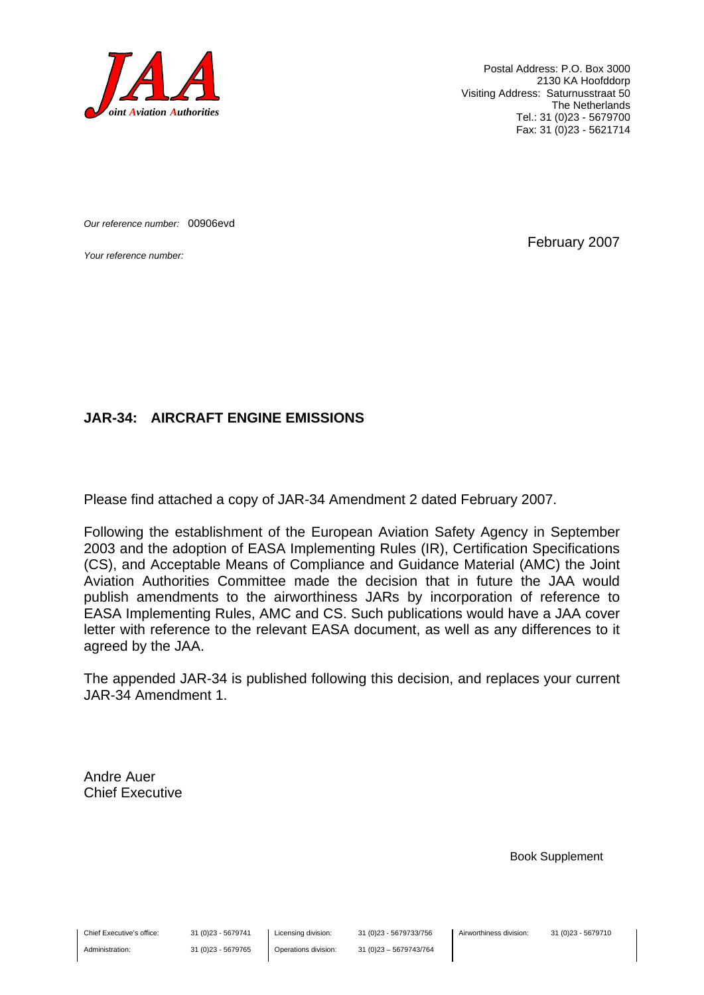

Postal Address: P.O. Box 3000 2130 KA Hoofddorp Visiting Address: Saturnusstraat 50 The Netherlands Tel.: 31 (0)23 - 5679700 Fax: 31 (0)23 - 5621714

*Our reference number:* 00906evd

*Your reference number:* February 2007

#### **JAR-34: AIRCRAFT ENGINE EMISSIONS**

Please find attached a copy of JAR-34 Amendment 2 dated February 2007.

Following the establishment of the European Aviation Safety Agency in September 2003 and the adoption of EASA Implementing Rules (IR), Certification Specifications (CS), and Acceptable Means of Compliance and Guidance Material (AMC) the Joint Aviation Authorities Committee made the decision that in future the JAA would publish amendments to the airworthiness JARs by incorporation of reference to EASA Implementing Rules, AMC and CS. Such publications would have a JAA cover letter with reference to the relevant EASA document, as well as any differences to it agreed by the JAA.

The appended JAR-34 is published following this decision, and replaces your current JAR-34 Amendment 1.

Andre Auer Chief Executive

Book Supplement

Chief Executive's office:

Administration:

Licensing division: Operations division: 31 (0)23 - 5679733/756 31 (0)23 – 5679743/764 Airworthiness division: 31 (0)23 - 5679710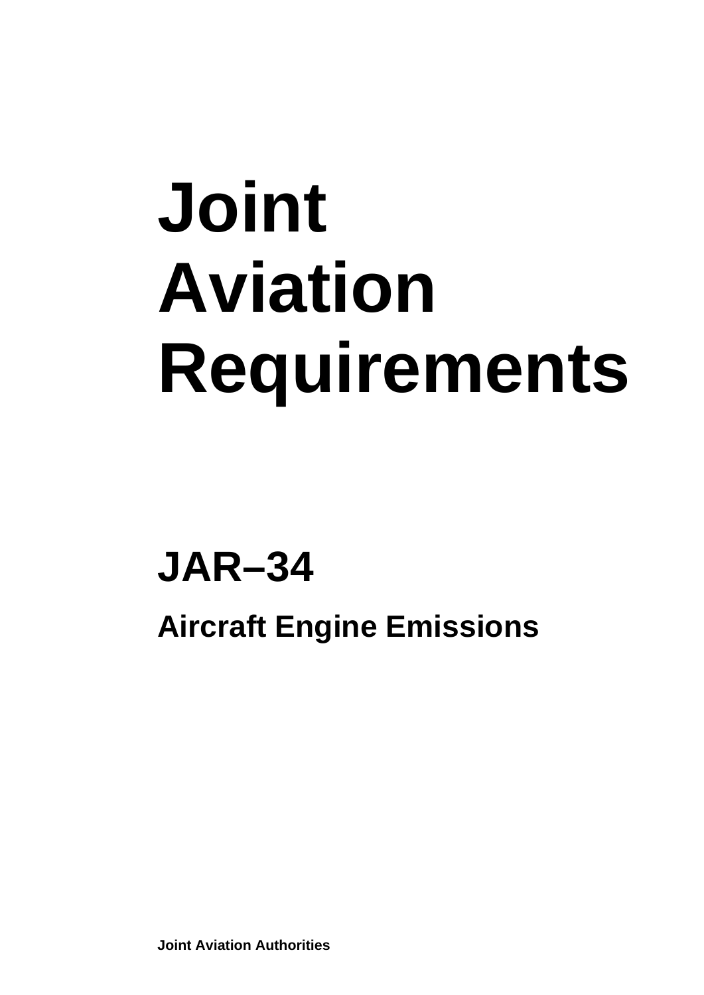# **Joint Aviation Requirements**

## **JAR–34**

**Aircraft Engine Emissions** 

**Joint Aviation Authorities**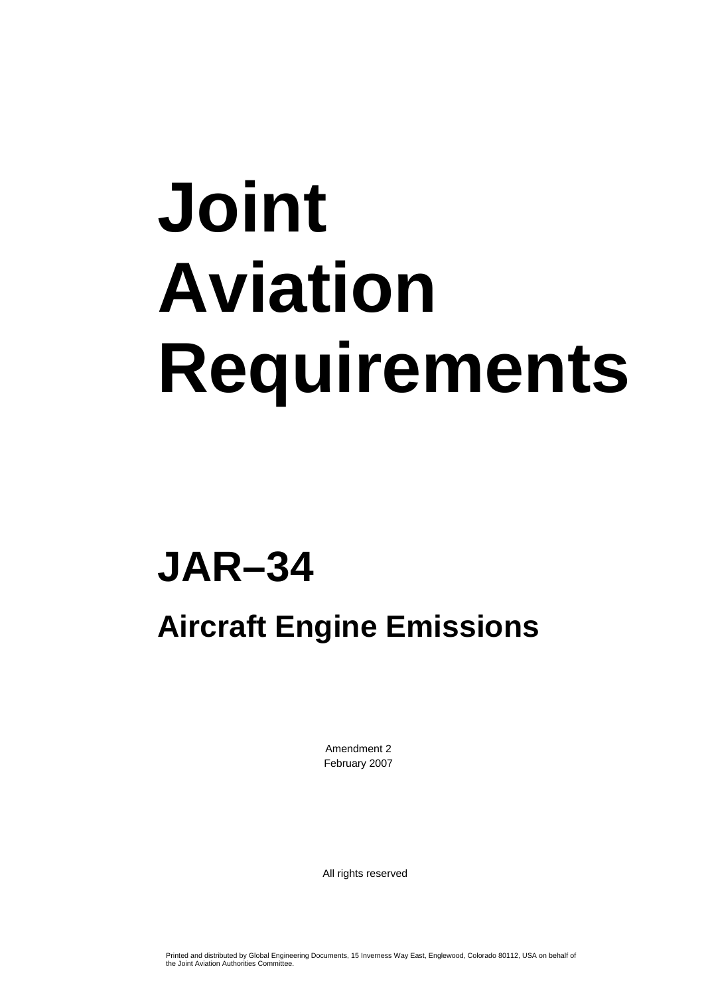# **Joint Aviation Requirements**

## **JAR–34**

### **Aircraft Engine Emissions**

Amendment 2 February 2007

All rights reserved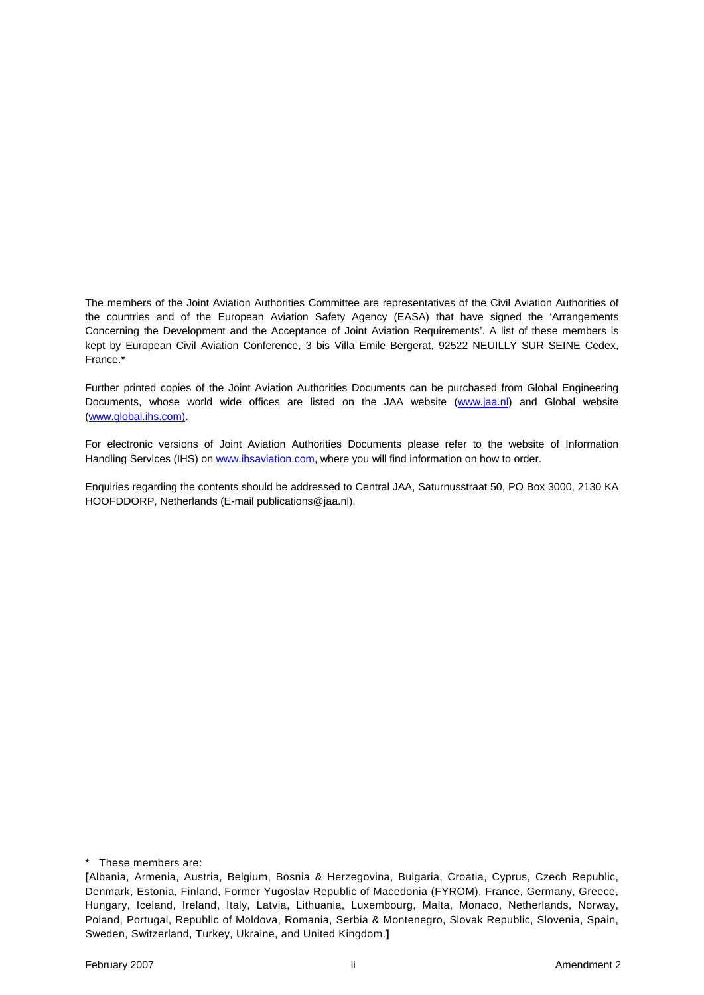The members of the Joint Aviation Authorities Committee are representatives of the Civil Aviation Authorities of the countries and of the European Aviation Safety Agency (EASA) that have signed the 'Arrangements Concerning the Development and the Acceptance of Joint Aviation Requirements'. A list of these members is kept by European Civil Aviation Conference, 3 bis Villa Emile Bergerat, 92522 NEUILLY SUR SEINE Cedex, France.\*

Further printed copies of the Joint Aviation Authorities Documents can be purchased from Global Engineering Documents, whose world wide offices are listed on the JAA website (www.jaa.nl) and Global website (www.global.ihs.com).

For electronic versions of Joint Aviation Authorities Documents please refer to the website of Information Handling Services (IHS) on www.ihsaviation.com, where you will find information on how to order.

Enquiries regarding the contents should be addressed to Central JAA, Saturnusstraat 50, PO Box 3000, 2130 KA HOOFDDORP, Netherlands (E-mail publications@jaa.nl).

\* These members are:

**<sup>[</sup>**Albania, Armenia, Austria, Belgium, Bosnia & Herzegovina, Bulgaria, Croatia, Cyprus, Czech Republic, Denmark, Estonia, Finland, Former Yugoslav Republic of Macedonia (FYROM), France, Germany, Greece, Hungary, Iceland, Ireland, Italy, Latvia, Lithuania, Luxembourg, Malta, Monaco, Netherlands, Norway, Poland, Portugal, Republic of Moldova, Romania, Serbia & Montenegro, Slovak Republic, Slovenia, Spain, Sweden, Switzerland, Turkey, Ukraine, and United Kingdom.**]**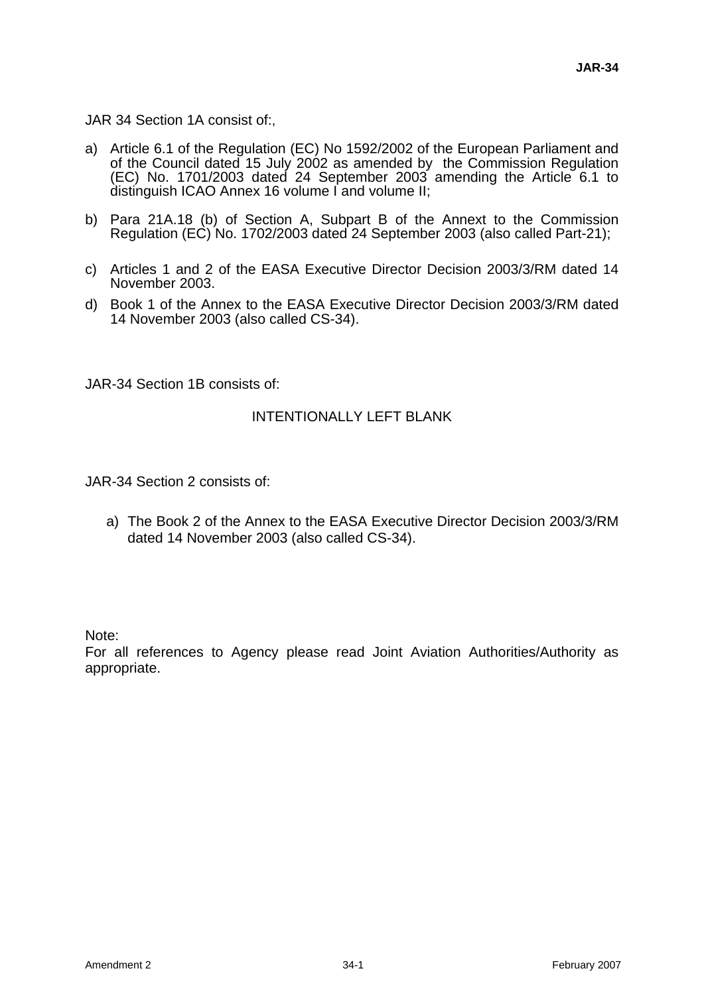JAR 34 Section 1A consist of:,

- a) Article 6.1 of the Regulation (EC) No 1592/2002 of the European Parliament and of the Council dated 15 July 2002 as amended by the Commission Regulation (EC) No. 1701/2003 dated 24 September 2003 amending the Article 6.1 to distinguish ICAO Annex 16 volume I and volume II;
- b) Para 21A.18 (b) of Section A, Subpart B of the Annext to the Commission Regulation (EC) No. 1702/2003 dated 24 September 2003 (also called Part-21);
- c) Articles 1 and 2 of the EASA Executive Director Decision 2003/3/RM dated 14 November 2003.
- d) Book 1 of the Annex to the EASA Executive Director Decision 2003/3/RM dated 14 November 2003 (also called CS-34).

JAR-34 Section 1B consists of:

#### INTENTIONALLY LEFT BLANK

JAR-34 Section 2 consists of:

a) The Book 2 of the Annex to the EASA Executive Director Decision 2003/3/RM dated 14 November 2003 (also called CS-34).

Note:

For all references to Agency please read Joint Aviation Authorities/Authority as appropriate.